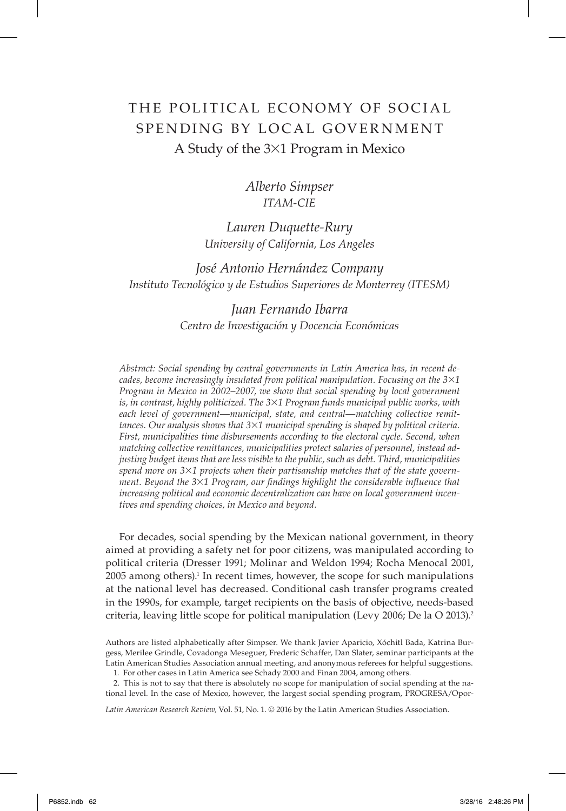# THE POLITICAL ECONOMY OF SOCIAL SPENDING BY LOCAL GOVERNMENT A Study of the 3×1 Program in Mexico

## *Alberto Simpser ITAM-CIE*

*Lauren Duquette-Rury University of California, Los Angeles*

*José Antonio Hernández Company Instituto Tecnológico y de Estudios Superiores de Monterrey (ITESM)*

## *Juan Fernando Ibarra Centro de Investigación y Docencia Económicas*

*Abstract: Social spending by central governments in Latin America has, in recent decades, become increasingly insulated from political manipulation. Focusing on the 3*×*1 Program in Mexico in 2002–2007, we show that social spending by local government is, in contrast, highly politicized. The 3*×*1 Program funds municipal public works, with each level of government—municipal, state, and central—matching collective remittances. Our analysis shows that 3*×*1 municipal spending is shaped by political criteria. First, municipalities time disbursements according to the electoral cycle. Second, when matching collective remittances, municipalities protect salaries of personnel, instead adjusting budget items that are less visible to the public, such as debt. Third, municipalities spend more on 3*×*1 projects when their partisanship matches that of the state government. Beyond the 3×1 Program, our findings highlight the considerable influence that increasing political and economic decentralization can have on local government incentives and spending choices, in Mexico and beyond.*

For decades, social spending by the Mexican national government, in theory aimed at providing a safety net for poor citizens, was manipulated according to political criteria (Dresser 1991; Molinar and Weldon 1994; Rocha Menocal 2001, 2005 among others).1 In recent times, however, the scope for such manipulations at the national level has decreased. Conditional cash transfer programs created in the 1990s, for example, target recipients on the basis of objective, needs-based criteria, leaving little scope for political manipulation (Levy 2006; De la O 2013).2

Authors are listed alphabetically after Simpser. We thank Javier Aparicio, Xóchitl Bada, Katrina Burgess, Merilee Grindle, Covadonga Meseguer, Frederic Schaffer, Dan Slater, seminar participants at the Latin American Studies Association annual meeting, and anonymous referees for helpful suggestions.

1. For other cases in Latin America see Schady 2000 and Finan 2004, among others.

2. This is not to say that there is absolutely no scope for manipulation of social spending at the national level. In the case of Mexico, however, the largest social spending program, PROGRESA/Opor-

*Latin American Research Review,* Vol. 51, No. 1. © 2016 by the Latin American Studies Association.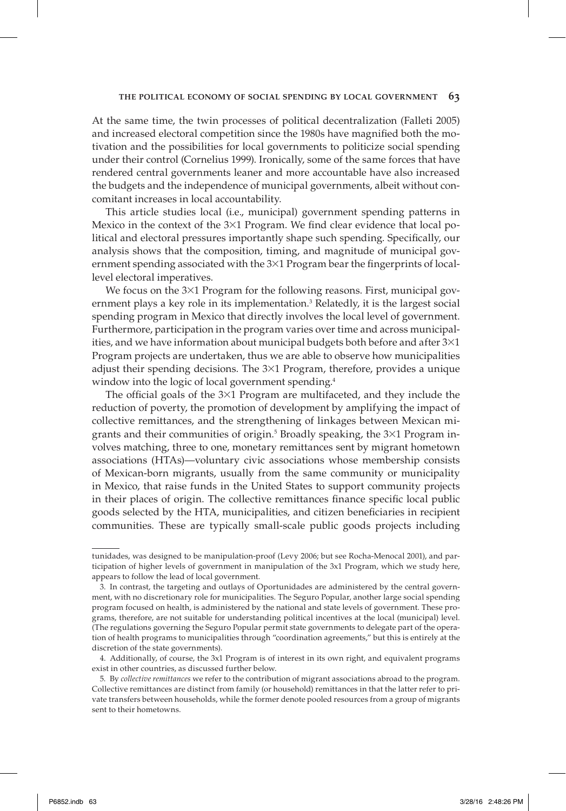At the same time, the twin processes of political decentralization (Falleti 2005) and increased electoral competition since the 1980s have magnified both the motivation and the possibilities for local governments to politicize social spending under their control (Cornelius 1999). Ironically, some of the same forces that have rendered central governments leaner and more accountable have also increased the budgets and the independence of municipal governments, albeit without concomitant increases in local accountability.

This article studies local (i.e., municipal) government spending patterns in Mexico in the context of the  $3\times1$  Program. We find clear evidence that local political and electoral pressures importantly shape such spending. Specifically, our analysis shows that the composition, timing, and magnitude of municipal government spending associated with the  $3\times1$  Program bear the fingerprints of locallevel electoral imperatives.

We focus on the  $3\times1$  Program for the following reasons. First, municipal government plays a key role in its implementation.3 Relatedly, it is the largest social spending program in Mexico that directly involves the local level of government. Furthermore, participation in the program varies over time and across municipalities, and we have information about municipal budgets both before and after  $3\times1$ Program projects are undertaken, thus we are able to observe how municipalities adjust their spending decisions. The 3×1 Program, therefore, provides a unique window into the logic of local government spending.<sup>4</sup>

The official goals of the  $3\times1$  Program are multifaceted, and they include the reduction of poverty, the promotion of development by amplifying the impact of collective remittances, and the strengthening of linkages between Mexican migrants and their communities of origin.<sup>5</sup> Broadly speaking, the 3×1 Program involves matching, three to one, monetary remittances sent by migrant hometown associations (HTAs)—voluntary civic associations whose membership consists of Mexican-born migrants, usually from the same community or municipality in Mexico, that raise funds in the United States to support community projects in their places of origin. The collective remittances finance specific local public goods selected by the HTA, municipalities, and citizen beneficiaries in recipient communities. These are typically small-scale public goods projects including

tunidades, was designed to be manipulation-proof (Levy 2006; but see Rocha-Menocal 2001), and participation of higher levels of government in manipulation of the 3x1 Program, which we study here, appears to follow the lead of local government.

<sup>3.</sup> In contrast, the targeting and outlays of Oportunidades are administered by the central government, with no discretionary role for municipalities. The Seguro Popular, another large social spending program focused on health, is administered by the national and state levels of government. These programs, therefore, are not suitable for understanding political incentives at the local (municipal) level. (The regulations governing the Seguro Popular permit state governments to delegate part of the operation of health programs to municipalities through "coordination agreements," but this is entirely at the discretion of the state governments).

<sup>4.</sup> Additionally, of course, the 3x1 Program is of interest in its own right, and equivalent programs exist in other countries, as discussed further below.

<sup>5.</sup> By *collective remittances* we refer to the contribution of migrant associations abroad to the program. Collective remittances are distinct from family (or household) remittances in that the latter refer to private transfers between households, while the former denote pooled resources from a group of migrants sent to their hometowns.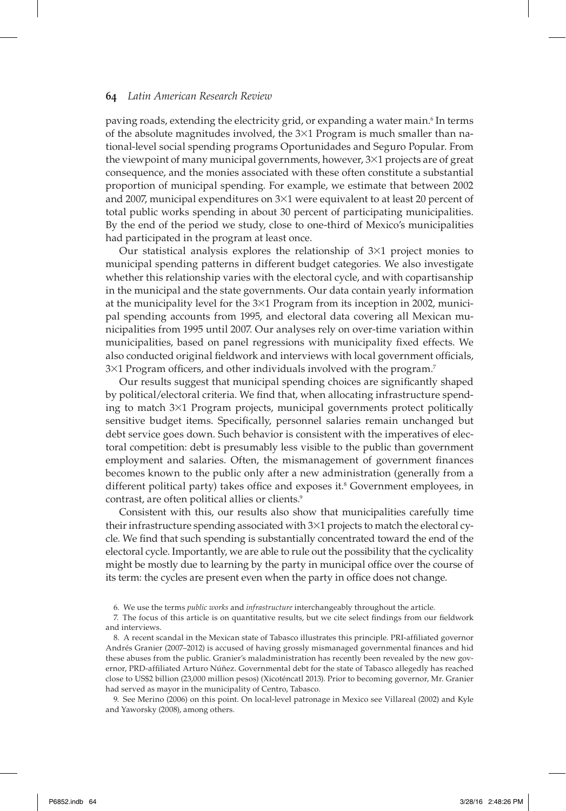paving roads, extending the electricity grid, or expanding a water main.<sup>6</sup> In terms of the absolute magnitudes involved, the  $3\times1$  Program is much smaller than national-level social spending programs Oportunidades and Seguro Popular. From the viewpoint of many municipal governments, however, 3×1 projects are of great consequence, and the monies associated with these often constitute a substantial proportion of municipal spending. For example, we estimate that between 2002 and 2007, municipal expenditures on 3×1 were equivalent to at least 20 percent of total public works spending in about 30 percent of participating municipalities. By the end of the period we study, close to one-third of Mexico's municipalities had participated in the program at least once.

Our statistical analysis explores the relationship of  $3\times1$  project monies to municipal spending patterns in different budget categories. We also investigate whether this relationship varies with the electoral cycle, and with copartisanship in the municipal and the state governments. Our data contain yearly information at the municipality level for the 3×1 Program from its inception in 2002, municipal spending accounts from 1995, and electoral data covering all Mexican municipalities from 1995 until 2007. Our analyses rely on over-time variation within municipalities, based on panel regressions with municipality fixed effects. We also conducted original fieldwork and interviews with local government officials,  $3\times1$  Program officers, and other individuals involved with the program.<sup>7</sup>

Our results suggest that municipal spending choices are significantly shaped by political/electoral criteria. We find that, when allocating infrastructure spending to match 3×1 Program projects, municipal governments protect politically sensitive budget items. Specifically, personnel salaries remain unchanged but debt service goes down. Such behavior is consistent with the imperatives of electoral competition: debt is presumably less visible to the public than government employment and salaries. Often, the mismanagement of government finances becomes known to the public only after a new administration (generally from a different political party) takes office and exposes it.<sup>8</sup> Government employees, in contrast, are often political allies or clients.<sup>9</sup>

Consistent with this, our results also show that municipalities carefully time their infrastructure spending associated with  $3\times1$  projects to match the electoral cycle. We find that such spending is substantially concentrated toward the end of the electoral cycle. Importantly, we are able to rule out the possibility that the cyclicality might be mostly due to learning by the party in municipal office over the course of its term: the cycles are present even when the party in office does not change.

9. See Merino (2006) on this point. On local-level patronage in Mexico see Villareal (2002) and Kyle and Yaworsky (2008), among others.

<sup>6.</sup> We use the terms *public works* and *infrastructure* interchangeably throughout the article.

<sup>7.</sup> The focus of this article is on quantitative results, but we cite select findings from our fieldwork and interviews.

<sup>8.</sup> A recent scandal in the Mexican state of Tabasco illustrates this principle. PRI-affiliated governor Andrés Granier (2007-2012) is accused of having grossly mismanaged governmental finances and hid these abuses from the public. Granier's maladministration has recently been revealed by the new governor, PRD-affiliated Arturo Núñez. Governmental debt for the state of Tabasco allegedly has reached close to US\$2 billion (23,000 million pesos) (Xicoténcatl 2013). Prior to becoming governor, Mr. Granier had served as mayor in the municipality of Centro, Tabasco.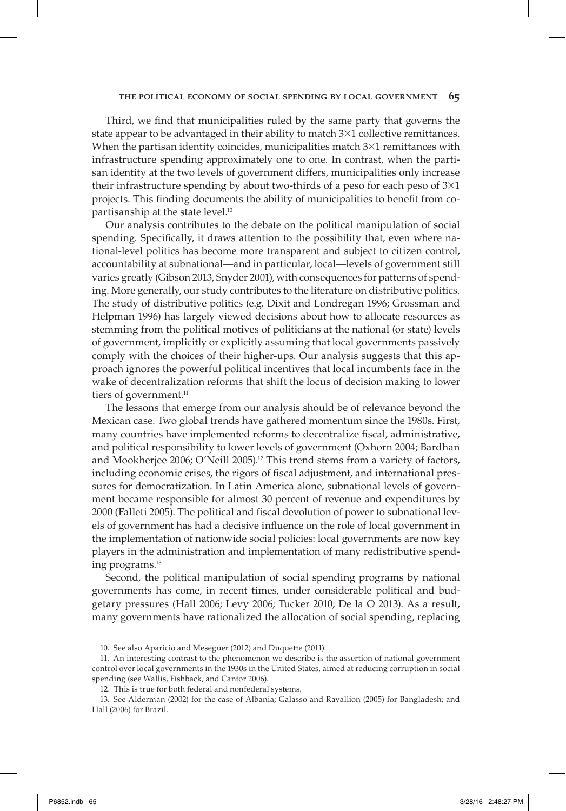Third, we find that municipalities ruled by the same party that governs the state appear to be advantaged in their ability to match 3×1 collective remittances. When the partisan identity coincides, municipalities match  $3\times1$  remittances with infrastructure spending approximately one to one. In contrast, when the partisan identity at the two levels of government differs, municipalities only increase their infrastructure spending by about two-thirds of a peso for each peso of  $3\times1$ projects. This finding documents the ability of municipalities to benefit from copartisanship at the state level.10

Our analysis contributes to the debate on the political manipulation of social spending. Specifically, it draws attention to the possibility that, even where national-level politics has become more transparent and subject to citizen control, accountability at subnational—and in particular, local—levels of government still varies greatly (Gibson 2013, Snyder 2001), with consequences for patterns of spending. More generally, our study contributes to the literature on distributive politics. The study of distributive politics (e.g. Dixit and Londregan 1996; Grossman and Helpman 1996) has largely viewed decisions about how to allocate resources as stemming from the political motives of politicians at the national (or state) levels of government, implicitly or explicitly assuming that local governments passively comply with the choices of their higher-ups. Our analysis suggests that this approach ignores the powerful political incentives that local incumbents face in the wake of decentralization reforms that shift the locus of decision making to lower tiers of government.<sup>11</sup>

The lessons that emerge from our analysis should be of relevance beyond the Mexican case. Two global trends have gathered momentum since the 1980s. First, many countries have implemented reforms to decentralize fiscal, administrative, and political responsibility to lower levels of government (Oxhorn 2004; Bardhan and Mookherjee 2006; O'Neill 2005).<sup>12</sup> This trend stems from a variety of factors, including economic crises, the rigors of fiscal adjustment, and international pressures for democratization. In Latin America alone, subnational levels of government became responsible for almost 30 percent of revenue and expenditures by 2000 (Falleti 2005). The political and fiscal devolution of power to subnational levels of government has had a decisive influence on the role of local government in the implementation of nationwide social policies: local governments are now key players in the administration and implementation of many redistributive spending programs.13

Second, the political manipulation of social spending programs by national governments has come, in recent times, under considerable political and budgetary pressures (Hall 2006; Levy 2006; Tucker 2010; De la O 2013). As a result, many governments have rationalized the allocation of social spending, replacing

<sup>10.</sup> See also Aparicio and Meseguer (2012) and Duquette (2011).

<sup>11.</sup> An interesting contrast to the phenomenon we describe is the assertion of national government control over local governments in the 1930s in the United States, aimed at reducing corruption in social spending (see Wallis, Fishback, and Cantor 2006).

<sup>12.</sup> This is true for both federal and nonfederal systems.

<sup>13.</sup> See Alderman (2002) for the case of Albania; Galasso and Ravallion (2005) for Bangladesh; and Hall (2006) for Brazil.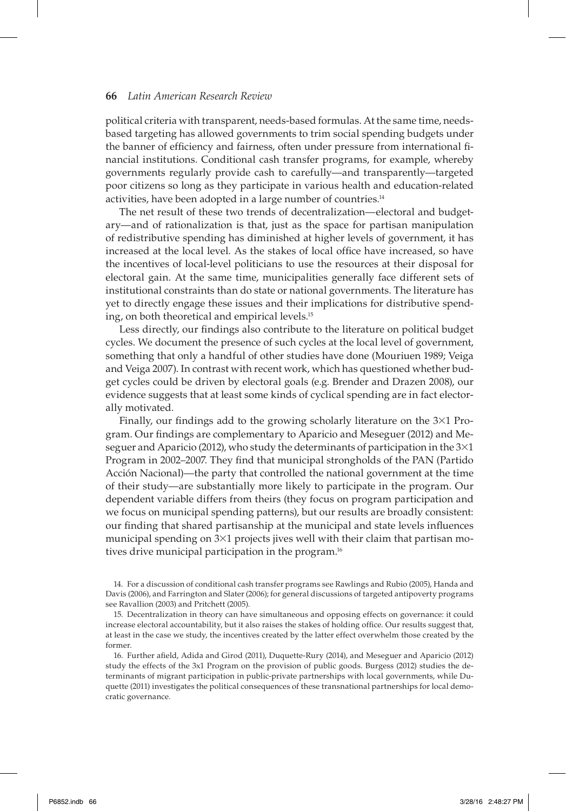political criteria with transparent, needs-based formulas. At the same time, needsbased targeting has allowed governments to trim social spending budgets under the banner of efficiency and fairness, often under pressure from international financial institutions. Conditional cash transfer programs, for example, whereby governments regularly provide cash to carefully—and transparently—targeted poor citizens so long as they participate in various health and education-related activities, have been adopted in a large number of countries.14

The net result of these two trends of decentralization—electoral and budgetary—and of rationalization is that, just as the space for partisan manipulation of redistributive spending has diminished at higher levels of government, it has increased at the local level. As the stakes of local office have increased, so have the incentives of local-level politicians to use the resources at their disposal for electoral gain. At the same time, municipalities generally face different sets of institutional constraints than do state or national governments. The literature has yet to directly engage these issues and their implications for distributive spending, on both theoretical and empirical levels.<sup>15</sup>

Less directly, our findings also contribute to the literature on political budget cycles. We document the presence of such cycles at the local level of government, something that only a handful of other studies have done (Mouriuen 1989; Veiga and Veiga 2007). In contrast with recent work, which has questioned whether budget cycles could be driven by electoral goals (e.g. Brender and Drazen 2008), our evidence suggests that at least some kinds of cyclical spending are in fact electorally motivated.

Finally, our findings add to the growing scholarly literature on the  $3\times1$  Program. Our findings are complementary to Aparicio and Meseguer (2012) and Meseguer and Aparicio (2012), who study the determinants of participation in the  $3\times1$ Program in 2002–2007. They find that municipal strongholds of the PAN (Partido Acción Nacional)—the party that controlled the national government at the time of their study—are substantially more likely to participate in the program. Our dependent variable differs from theirs (they focus on program participation and we focus on municipal spending patterns), but our results are broadly consistent: our finding that shared partisanship at the municipal and state levels influences municipal spending on  $3\times1$  projects jives well with their claim that partisan motives drive municipal participation in the program.<sup>16</sup>

14. For a discussion of conditional cash transfer programs see Rawlings and Rubio (2005), Handa and Davis (2006), and Farrington and Slater (2006); for general discussions of targeted antipoverty programs see Ravallion (2003) and Pritchett (2005).

16. Further afield, Adida and Girod (2011), Duquette-Rury (2014), and Meseguer and Aparicio (2012) study the effects of the 3x1 Program on the provision of public goods. Burgess (2012) studies the determinants of migrant participation in public-private partnerships with local governments, while Duquette (2011) investigates the political consequences of these transnational partnerships for local democratic governance.

<sup>15.</sup> Decentralization in theory can have simultaneous and opposing effects on governance: it could increase electoral accountability, but it also raises the stakes of holding office. Our results suggest that, at least in the case we study, the incentives created by the latter effect overwhelm those created by the former.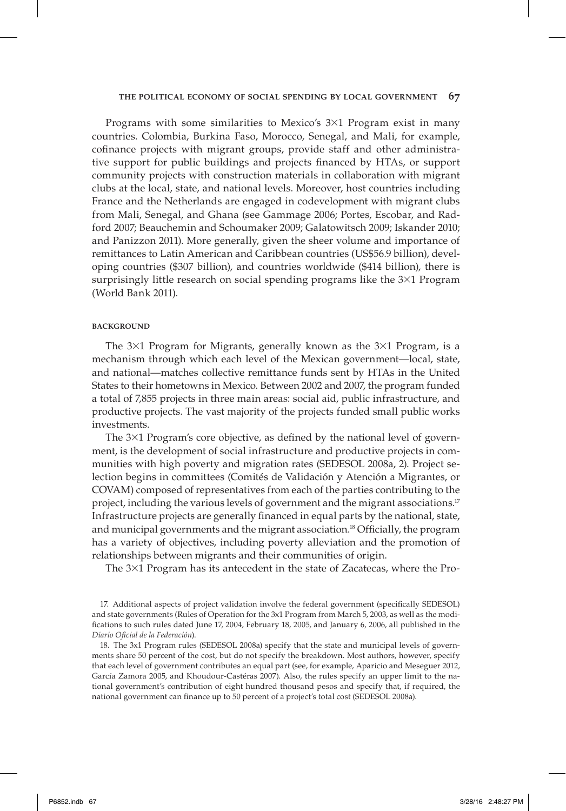Programs with some similarities to Mexico's 3×1 Program exist in many countries. Colombia, Burkina Faso, Morocco, Senegal, and Mali, for example, cofinance projects with migrant groups, provide staff and other administrative support for public buildings and projects financed by HTAs, or support community projects with construction materials in collaboration with migrant clubs at the local, state, and national levels. Moreover, host countries including France and the Netherlands are engaged in codevelopment with migrant clubs from Mali, Senegal, and Ghana (see Gammage 2006; Portes, Escobar, and Radford 2007; Beauchemin and Schoumaker 2009; Galatowitsch 2009; Iskander 2010; and Panizzon 2011). More generally, given the sheer volume and importance of remittances to Latin American and Caribbean countries (US\$56.9 billion), developing countries (\$307 billion), and countries worldwide (\$414 billion), there is surprisingly little research on social spending programs like the 3×1 Program (World Bank 2011).

#### **BACKGROUND**

The 3×1 Program for Migrants, generally known as the 3×1 Program, is a mechanism through which each level of the Mexican government—local, state, and national—matches collective remittance funds sent by HTAs in the United States to their hometowns in Mexico. Between 2002 and 2007, the program funded a total of 7,855 projects in three main areas: social aid, public infrastructure, and productive projects. The vast majority of the projects funded small public works investments.

The  $3\times1$  Program's core objective, as defined by the national level of government, is the development of social infrastructure and productive projects in communities with high poverty and migration rates (SEDESOL 2008a, 2). Project selection begins in committees (Comités de Validación y Atención a Migrantes, or COVAM) composed of representatives from each of the parties contributing to the project, including the various levels of government and the migrant associations.<sup>17</sup> Infrastructure projects are generally financed in equal parts by the national, state, and municipal governments and the migrant association.<sup>18</sup> Officially, the program has a variety of objectives, including poverty alleviation and the promotion of relationships between migrants and their communities of origin.

The 3×1 Program has its antecedent in the state of Zacatecas, where the Pro-

<sup>17.</sup> Additional aspects of project validation involve the federal government (specifically SEDESOL) and state governments (Rules of Operation for the 3x1 Program from March 5, 2003, as well as the modifications to such rules dated June 17, 2004, February 18, 2005, and January 6, 2006, all published in the *Diario Ofi cial de la Federación*).

<sup>18.</sup> The 3x1 Program rules (SEDESOL 2008a) specify that the state and municipal levels of governments share 50 percent of the cost, but do not specify the breakdown. Most authors, however, specify that each level of government contributes an equal part (see, for example, Aparicio and Meseguer 2012, García Zamora 2005, and Khoudour-Castéras 2007). Also, the rules specify an upper limit to the national government's contribution of eight hundred thousand pesos and specify that, if required, the national government can finance up to 50 percent of a project's total cost (SEDESOL 2008a).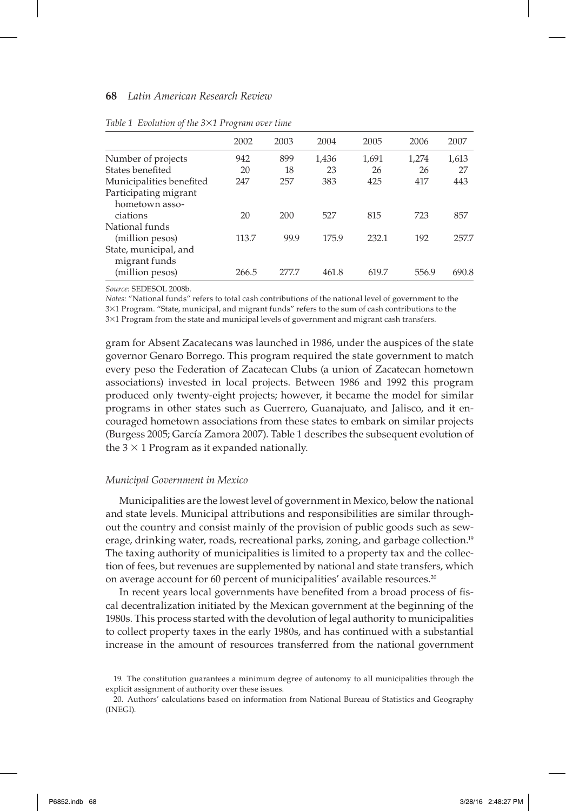| 2002  | 2003  | 2004  | 2005  | 2006  | 2007  |
|-------|-------|-------|-------|-------|-------|
| 942   | 899   | 1,436 | 1,691 | 1,274 | 1,613 |
| 20    | 18    | 23    | 26    | 26    | 27    |
| 247   | 257   | 383   | 425   | 417   | 443   |
|       |       |       |       |       |       |
| 20    | 200   | 527   | 815   | 723   | 857   |
|       |       |       |       |       |       |
| 113.7 | 99.9  | 175.9 | 232.1 | 192   | 257.7 |
|       |       |       |       |       |       |
| 266.5 | 277.7 | 461.8 | 619.7 | 556.9 | 690.8 |
|       |       |       |       |       |       |

*Table 1 Evolution of the 3*×*1 Program over time*

*Source:* SEDESOL 2008b.

*Notes:* "National funds" refers to total cash contributions of the national level of government to the 3×1 Program. "State, municipal, and migrant funds" refers to the sum of cash contributions to the 3×1 Program from the state and municipal levels of government and migrant cash transfers.

gram for Absent Zacatecans was launched in 1986, under the auspices of the state governor Genaro Borrego. This program required the state government to match every peso the Federation of Zacatecan Clubs (a union of Zacatecan hometown associations) invested in local projects. Between 1986 and 1992 this program produced only twenty-eight projects; however, it became the model for similar programs in other states such as Guerrero, Guanajuato, and Jalisco, and it encouraged hometown associations from these states to embark on similar projects (Burgess 2005; García Zamora 2007). Table 1 describes the subsequent evolution of the  $3 \times 1$  Program as it expanded nationally.

#### *Municipal Government in Mexico*

Municipalities are the lowest level of government in Mexico, below the national and state levels. Municipal attributions and responsibilities are similar throughout the country and consist mainly of the provision of public goods such as sewerage, drinking water, roads, recreational parks, zoning, and garbage collection.<sup>19</sup> The taxing authority of municipalities is limited to a property tax and the collection of fees, but revenues are supplemented by national and state transfers, which on average account for 60 percent of municipalities' available resources.<sup>20</sup>

In recent years local governments have benefited from a broad process of fiscal decentralization initiated by the Mexican government at the beginning of the 1980s. This process started with the devolution of legal authority to municipalities to collect property taxes in the early 1980s, and has continued with a substantial increase in the amount of resources transferred from the national government

<sup>19.</sup> The constitution guarantees a minimum degree of autonomy to all municipalities through the explicit assignment of authority over these issues.

<sup>20.</sup> Authors' calculations based on information from National Bureau of Statistics and Geography (INEGI).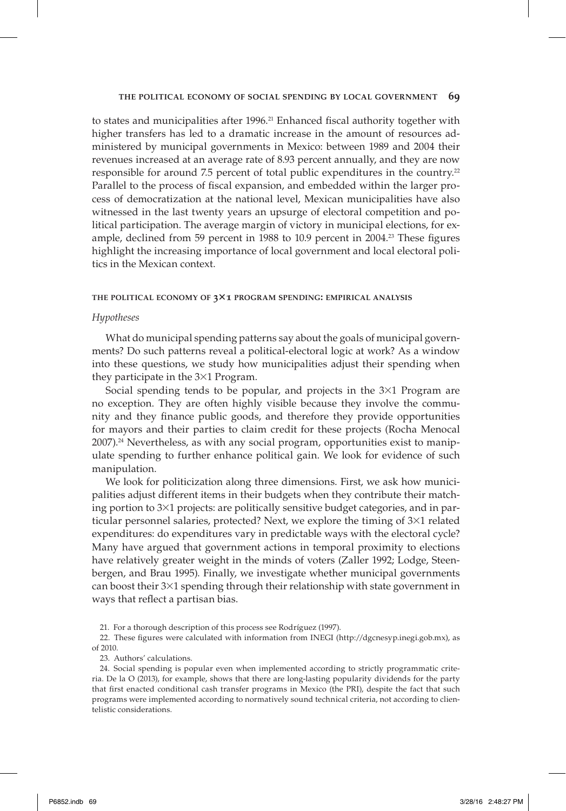to states and municipalities after  $1996.<sup>21</sup>$  Enhanced fiscal authority together with higher transfers has led to a dramatic increase in the amount of resources administered by municipal governments in Mexico: between 1989 and 2004 their revenues increased at an average rate of 8.93 percent annually, and they are now responsible for around 7.5 percent of total public expenditures in the country.<sup>22</sup> Parallel to the process of fiscal expansion, and embedded within the larger process of democratization at the national level, Mexican municipalities have also witnessed in the last twenty years an upsurge of electoral competition and political participation. The average margin of victory in municipal elections, for example, declined from 59 percent in 1988 to 10.9 percent in 2004.<sup>23</sup> These figures highlight the increasing importance of local government and local electoral politics in the Mexican context.

## **THE POLITICAL ECONOMY OF 3**×**1 PROGRAM SPENDING: EMPIRICAL ANALYSIS**

## *Hypotheses*

What do municipal spending patterns say about the goals of municipal governments? Do such patterns reveal a political-electoral logic at work? As a window into these questions, we study how municipalities adjust their spending when they participate in the 3×1 Program.

Social spending tends to be popular, and projects in the 3×1 Program are no exception. They are often highly visible because they involve the community and they finance public goods, and therefore they provide opportunities for mayors and their parties to claim credit for these projects (Rocha Menocal 2007).24 Nevertheless, as with any social program, opportunities exist to manipulate spending to further enhance political gain. We look for evidence of such manipulation.

We look for politicization along three dimensions. First, we ask how municipalities adjust different items in their budgets when they contribute their matching portion to 3×1 projects: are politically sensitive budget categories, and in particular personnel salaries, protected? Next, we explore the timing of 3×1 related expenditures: do expenditures vary in predictable ways with the electoral cycle? Many have argued that government actions in temporal proximity to elections have relatively greater weight in the minds of voters (Zaller 1992; Lodge, Steenbergen, and Brau 1995). Finally, we investigate whether municipal governments can boost their 3×1 spending through their relationship with state government in ways that reflect a partisan bias.

23. Authors' calculations.

<sup>21.</sup> For a thorough description of this process see Rodríguez (1997).

<sup>22.</sup> These figures were calculated with information from INEGI (http://dgcnesyp.inegi.gob.mx), as of 2010.

<sup>24.</sup> Social spending is popular even when implemented according to strictly programmatic criteria. De la O (2013), for example, shows that there are long-lasting popularity dividends for the party that first enacted conditional cash transfer programs in Mexico (the PRI), despite the fact that such programs were implemented according to normatively sound technical criteria, not according to clientelistic considerations.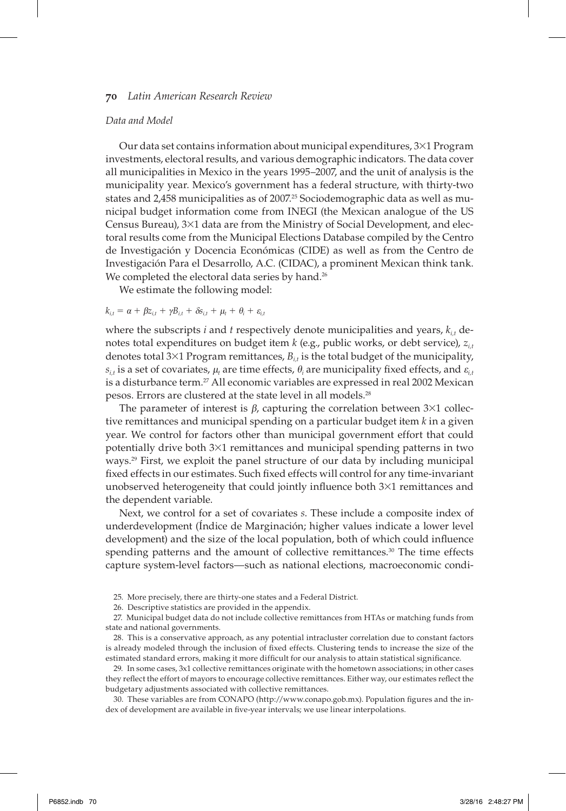## *Data and Model*

Our data set contains information about municipal expenditures, 3×1 Program investments, electoral results, and various demographic indicators. The data cover all municipalities in Mexico in the years 1995–2007, and the unit of analysis is the municipality year. Mexico's government has a federal structure, with thirty-two states and 2,458 municipalities as of 2007.<sup>25</sup> Sociodemographic data as well as municipal budget information come from INEGI (the Mexican analogue of the US Census Bureau), 3×1 data are from the Ministry of Social Development, and electoral results come from the Municipal Elections Database compiled by the Centro de Investigación y Docencia Económicas (CIDE) as well as from the Centro de Investigación Para el Desarrollo, A.C. (CIDAC), a prominent Mexican think tank. We completed the electoral data series by hand.<sup>26</sup>

We estimate the following model:

 $k_{i,t} = \alpha + \beta z_{i,t} + \gamma B_{i,t} + \delta s_{i,t} + \mu_t + \theta_i + \varepsilon_{i,t}$ 

where the subscripts *i* and *t* respectively denote municipalities and years,  $k_{i}$ , denotes total expenditures on budget item *k* (e.g., public works, or debt service), *zi,t* denotes total  $3\times1$  Program remittances,  $B_{i,t}$  is the total budget of the municipality,  $s_{i,t}$  is a set of covariates,  $\mu_t$  are time effects,  $\theta_i$  are municipality fixed effects, and  $\varepsilon_{i,t}$ is a disturbance term.<sup>27</sup> All economic variables are expressed in real 2002 Mexican pesos. Errors are clustered at the state level in all models.28

The parameter of interest is  $\beta$ , capturing the correlation between 3×1 collective remittances and municipal spending on a particular budget item *k* in a given year. We control for factors other than municipal government effort that could potentially drive both 3×1 remittances and municipal spending patterns in two ways.29 First, we exploit the panel structure of our data by including municipal fixed effects in our estimates. Such fixed effects will control for any time-invariant unobserved heterogeneity that could jointly influence both  $3\times1$  remittances and the dependent variable.

Next, we control for a set of covariates *s*. These include a composite index of underdevelopment (Índice de Marginación; higher values indicate a lower level development) and the size of the local population, both of which could influence spending patterns and the amount of collective remittances.<sup>30</sup> The time effects capture system-level factors—such as national elections, macroeconomic condi-

29. In some cases, 3x1 collective remittances originate with the hometown associations; in other cases they reflect the effort of mayors to encourage collective remittances. Either way, our estimates reflect the budgetary adjustments associated with collective remittances.

30. These variables are from CONAPO (http://www.conapo.gob.mx). Population figures and the index of development are available in five-year intervals; we use linear interpolations.

<sup>25.</sup> More precisely, there are thirty-one states and a Federal District.

<sup>26.</sup> Descriptive statistics are provided in the appendix.

<sup>27.</sup> Municipal budget data do not include collective remittances from HTAs or matching funds from state and national governments.

<sup>28.</sup> This is a conservative approach, as any potential intracluster correlation due to constant factors is already modeled through the inclusion of fixed effects. Clustering tends to increase the size of the estimated standard errors, making it more difficult for our analysis to attain statistical significance.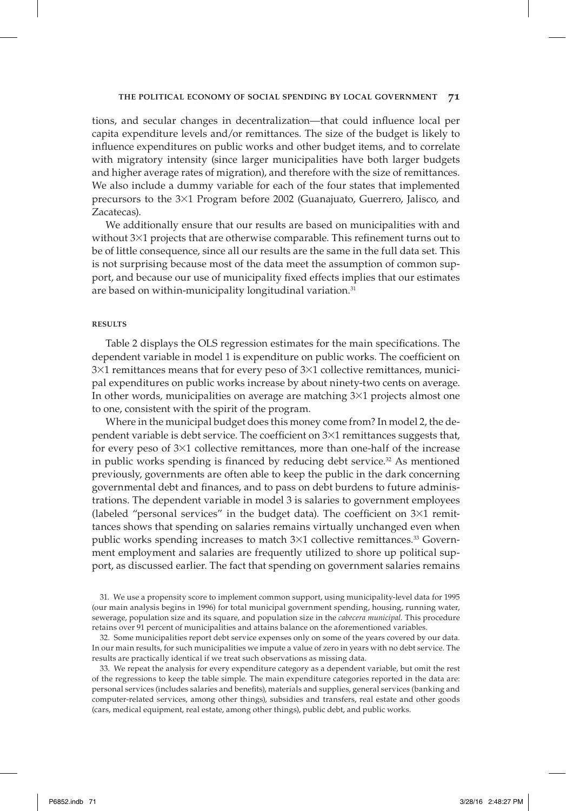tions, and secular changes in decentralization—that could influence local per capita expenditure levels and/or remittances. The size of the budget is likely to influence expenditures on public works and other budget items, and to correlate with migratory intensity (since larger municipalities have both larger budgets and higher average rates of migration), and therefore with the size of remittances. We also include a dummy variable for each of the four states that implemented precursors to the 3×1 Program before 2002 (Guanajuato, Guerrero, Jalisco, and Zacatecas).

We additionally ensure that our results are based on municipalities with and without  $3\times1$  projects that are otherwise comparable. This refinement turns out to be of little consequence, since all our results are the same in the full data set. This is not surprising because most of the data meet the assumption of common support, and because our use of municipality fixed effects implies that our estimates are based on within-municipality longitudinal variation.<sup>31</sup>

## **RESULTS**

Table 2 displays the OLS regression estimates for the main specifications. The dependent variable in model 1 is expenditure on public works. The coefficient on 3×1 remittances means that for every peso of 3×1 collective remittances, municipal expenditures on public works increase by about ninety-two cents on average. In other words, municipalities on average are matching  $3\times1$  projects almost one to one, consistent with the spirit of the program.

Where in the municipal budget does this money come from? In model 2, the dependent variable is debt service. The coefficient on  $3\times1$  remittances suggests that, for every peso of  $3\times1$  collective remittances, more than one-half of the increase in public works spending is financed by reducing debt service. $32$  As mentioned previously, governments are often able to keep the public in the dark concerning governmental debt and finances, and to pass on debt burdens to future administrations. The dependent variable in model 3 is salaries to government employees (labeled "personal services" in the budget data). The coefficient on  $3\times1$  remittances shows that spending on salaries remains virtually unchanged even when public works spending increases to match  $3\times1$  collective remittances.<sup>33</sup> Government employment and salaries are frequently utilized to shore up political support, as discussed earlier. The fact that spending on government salaries remains

31. We use a propensity score to implement common support, using municipality-level data for 1995 (our main analysis begins in 1996) for total municipal government spending, housing, running water, sewerage, population size and its square, and population size in the *cabecera municipal.* This procedure retains over 91 percent of municipalities and attains balance on the aforementioned variables.

32. Some municipalities report debt service expenses only on some of the years covered by our data. In our main results, for such municipalities we impute a value of zero in years with no debt service. The results are practically identical if we treat such observations as missing data.

33. We repeat the analysis for every expenditure category as a dependent variable, but omit the rest of the regressions to keep the table simple. The main expenditure categories reported in the data are: personal services (includes salaries and benefits), materials and supplies, general services (banking and computer-related services, among other things), subsidies and transfers, real estate and other goods (cars, medical equipment, real estate, among other things), public debt, and public works.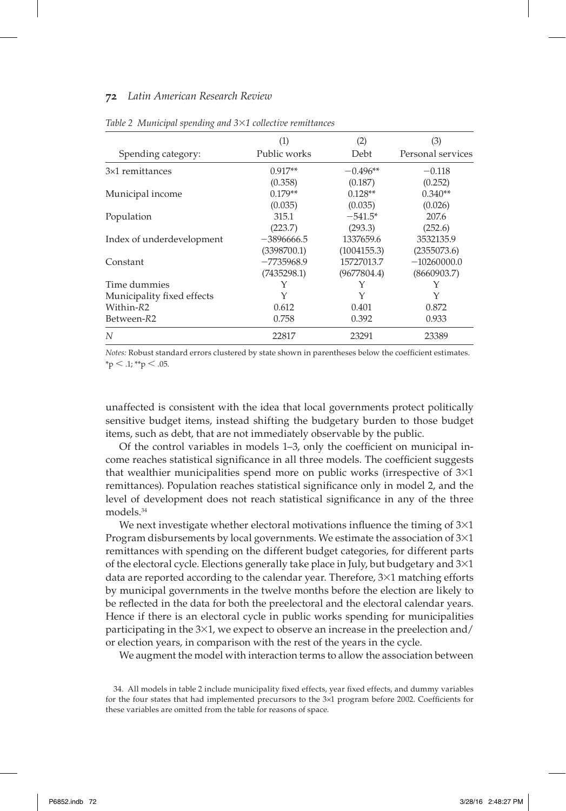| Spending category:         | (1)<br>Public works | (2)<br>Debt | (3)<br>Personal services |
|----------------------------|---------------------|-------------|--------------------------|
| 3×1 remittances            | $0.917**$           | $-0.496**$  | $-0.118$                 |
|                            | (0.358)             | (0.187)     | (0.252)                  |
| Municipal income           | $0.179**$           | $0.128**$   | $0.340**$                |
|                            | (0.035)             | (0.035)     | (0.026)                  |
| Population                 | 315.1               | $-541.5*$   | 207.6                    |
|                            | (223.7)             | (293.3)     | (252.6)                  |
| Index of underdevelopment  | $-3896666.5$        | 1337659.6   | 3532135.9                |
|                            | (3398700.1)         | (1004155.3) | (2355073.6)              |
| Constant                   | $-7735968.9$        | 15727013.7  | $-10260000.0$            |
|                            | (7435298.1)         | (9677804.4) | (8660903.7)              |
| Time dummies               | Y                   | Y           | Y                        |
| Municipality fixed effects | Υ                   | Y           | Υ                        |
| Within-R2                  | 0.612               | 0.401       | 0.872                    |
| Between-R2                 | 0.758               | 0.392       | 0.933                    |
| N                          | 22817               | 23291       | 23389                    |

*Table 2 Municipal spending and 3*×*1 collective remittances*

*Notes:* Robust standard errors clustered by state shown in parentheses below the coefficient estimates.  $*$ p  $<$  .1;  $*$ <sup>\*</sup>p  $<$  .05.

unaffected is consistent with the idea that local governments protect politically sensitive budget items, instead shifting the budgetary burden to those budget items, such as debt, that are not immediately observable by the public.

Of the control variables in models  $1-3$ , only the coefficient on municipal income reaches statistical significance in all three models. The coefficient suggests that wealthier municipalities spend more on public works (irrespective of 3×1 remittances). Population reaches statistical significance only in model 2, and the level of development does not reach statistical significance in any of the three models.34

We next investigate whether electoral motivations influence the timing of  $3\times1$ Program disbursements by local governments. We estimate the association of 3×1 remittances with spending on the different budget categories, for different parts of the electoral cycle. Elections generally take place in July, but budgetary and  $3\times1$ data are reported according to the calendar year. Therefore, 3×1 matching efforts by municipal governments in the twelve months before the election are likely to be reflected in the data for both the preelectoral and the electoral calendar years. Hence if there is an electoral cycle in public works spending for municipalities participating in the 3×1, we expect to observe an increase in the preelection and/ or election years, in comparison with the rest of the years in the cycle.

We augment the model with interaction terms to allow the association between

<sup>34.</sup> All models in table 2 include municipality fixed effects, year fixed effects, and dummy variables for the four states that had implemented precursors to the 3×1 program before 2002. Coefficients for these variables are omitted from the table for reasons of space.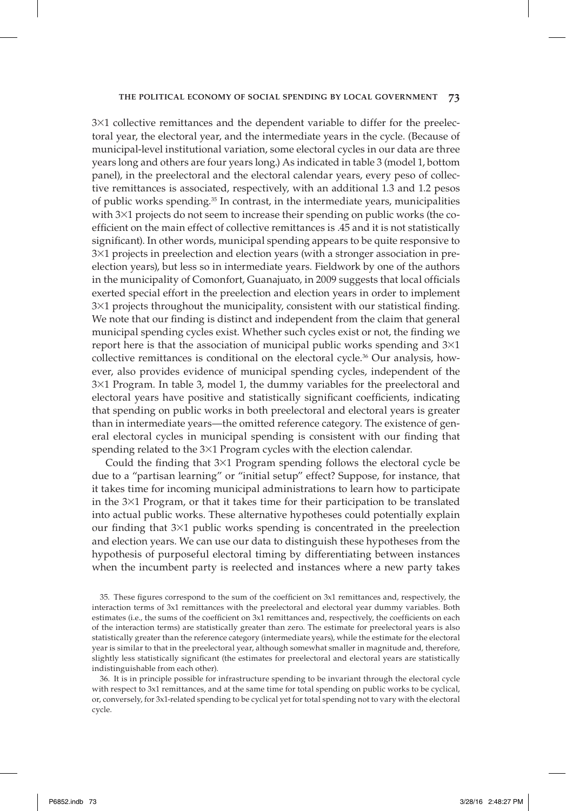3×1 collective remittances and the dependent variable to differ for the preelectoral year, the electoral year, and the intermediate years in the cycle. (Because of municipal-level institutional variation, some electoral cycles in our data are three years long and others are four years long.) As indicated in table 3 (model 1, bottom panel), in the preelectoral and the electoral calendar years, every peso of collective remittances is associated, respectively, with an additional 1.3 and 1.2 pesos of public works spending. $35$  In contrast, in the intermediate years, municipalities with 3×1 projects do not seem to increase their spending on public works (the coefficient on the main effect of collective remittances is .45 and it is not statistically significant). In other words, municipal spending appears to be quite responsive to 3×1 projects in preelection and election years (with a stronger association in preelection years), but less so in intermediate years. Fieldwork by one of the authors in the municipality of Comonfort, Guanajuato, in 2009 suggests that local officials exerted special effort in the preelection and election years in order to implement  $3\times1$  projects throughout the municipality, consistent with our statistical finding. We note that our finding is distinct and independent from the claim that general municipal spending cycles exist. Whether such cycles exist or not, the finding we report here is that the association of municipal public works spending and  $3\times1$ collective remittances is conditional on the electoral cycle.<sup>36</sup> Our analysis, however, also provides evidence of municipal spending cycles, independent of the 3×1 Program. In table 3, model 1, the dummy variables for the preelectoral and electoral years have positive and statistically significant coefficients, indicating that spending on public works in both preelectoral and electoral years is greater than in intermediate years—the omitted reference category. The existence of general electoral cycles in municipal spending is consistent with our finding that spending related to the 3×1 Program cycles with the election calendar.

Could the finding that  $3\times1$  Program spending follows the electoral cycle be due to a "partisan learning" or "initial setup" effect? Suppose, for instance, that it takes time for incoming municipal administrations to learn how to participate in the 3×1 Program, or that it takes time for their participation to be translated into actual public works. These alternative hypotheses could potentially explain our finding that  $3\times1$  public works spending is concentrated in the preelection and election years. We can use our data to distinguish these hypotheses from the hypothesis of purposeful electoral timing by differentiating between instances when the incumbent party is reelected and instances where a new party takes

36. It is in principle possible for infrastructure spending to be invariant through the electoral cycle with respect to 3x1 remittances, and at the same time for total spending on public works to be cyclical, or, conversely, for 3x1-related spending to be cyclical yet for total spending not to vary with the electoral cycle.

<sup>35.</sup> These figures correspond to the sum of the coefficient on 3x1 remittances and, respectively, the interaction terms of 3x1 remittances with the preelectoral and electoral year dummy variables. Both estimates (i.e., the sums of the coefficient on 3x1 remittances and, respectively, the coefficients on each of the interaction terms) are statistically greater than zero. The estimate for preelectoral years is also statistically greater than the reference category (intermediate years), while the estimate for the electoral year is similar to that in the preelectoral year, although somewhat smaller in magnitude and, therefore, slightly less statistically significant (the estimates for preelectoral and electoral years are statistically indistinguishable from each other).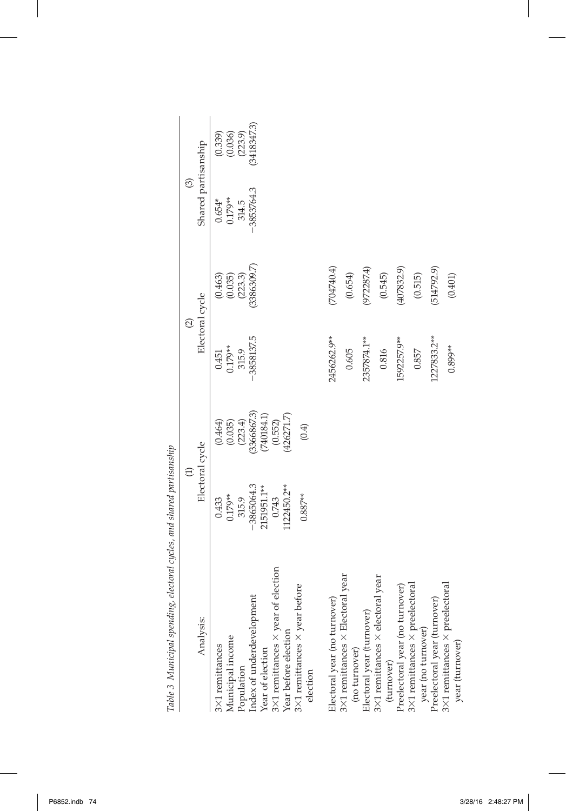| The Statement of the Speciality's continuing to the Statement of the Statement of the Statement of the Statement of the Statement of the Statement of the Statement of the Statement of the Statement of the Statement of the |                          |                                         |                          |                    |                       |                                     |
|-------------------------------------------------------------------------------------------------------------------------------------------------------------------------------------------------------------------------------|--------------------------|-----------------------------------------|--------------------------|--------------------|-----------------------|-------------------------------------|
|                                                                                                                                                                                                                               | $\widehat{\Xi}$          |                                         | $\widehat{\mathfrak{O}}$ |                    | $\odot$               |                                     |
| Analysis:                                                                                                                                                                                                                     | Electoral cycle          |                                         | Electoral cycle          |                    | Shared partisanship   |                                     |
| Municipal income<br>3×1 remittances                                                                                                                                                                                           | $0.179**$<br>0.433       | $(0.464)$<br>$(0.035)$                  | $0.179**$<br>0.451       | (0.035)<br>(0.463) | $0.179**$<br>$0.654*$ | $(0.339)$<br>$(0.036)$<br>$(223.9)$ |
|                                                                                                                                                                                                                               | 315.9                    | (223.4)                                 | 315.9                    | (223.3)            | 314.5                 |                                     |
| Population<br>Index of underdevelopment<br>Year of election                                                                                                                                                                   | 3865064.3<br>2151951.1** | (3366867.3)                             | 3858137.5                | (3386309.7)        | 3853764.3             | 3418347.3)                          |
| 3×1 remittances $\times$ year of election<br>Year before election                                                                                                                                                             | 122450.2**<br>0.743      | $(740184.1)$<br>$(0.552)$<br>(426271.7) |                          |                    |                       |                                     |
| 3×1 remittances × year before<br>election                                                                                                                                                                                     | $0.887**$                | (0.4)                                   |                          |                    |                       |                                     |
| Electoral year (no turnover)                                                                                                                                                                                                  |                          |                                         | 2456262.9**              | (704740.4)         |                       |                                     |
|                                                                                                                                                                                                                               |                          |                                         |                          |                    |                       |                                     |
| 3 $\times$ 1 remittances $\times$ Electoral year<br>(no turnover)                                                                                                                                                             |                          |                                         | 0.605                    | (0.654)            |                       |                                     |
| Electoral year (turnover)                                                                                                                                                                                                     |                          |                                         | 2357874.1**              | (972287.4)         |                       |                                     |
| $3\times1$ remittances $\times$ electoral year<br>(turnover)                                                                                                                                                                  |                          |                                         | 0.816                    | (0.545)            |                       |                                     |
| Preelectoral year (no turnover)                                                                                                                                                                                               |                          |                                         | 1592257.9**              | (407832.9)         |                       |                                     |
| 3×1 remittances × preelectoral<br>year (no turnover)                                                                                                                                                                          |                          |                                         | 0.857                    | (0.515)            |                       |                                     |
| Preelectoral year (turnover)                                                                                                                                                                                                  |                          |                                         | 1227833.2**              | (514792.9)         |                       |                                     |
| $3\times1$ remittances $\times$ preelectoral<br>year (turnover)                                                                                                                                                               |                          |                                         | $0.899**$                | (0.401)            |                       |                                     |
|                                                                                                                                                                                                                               |                          |                                         |                          |                    |                       |                                     |

and shared nartisanshin *Table 3 Municipal spending, electoral cycles, and shared partisanship* Table 3 Municinal spending electoral cucles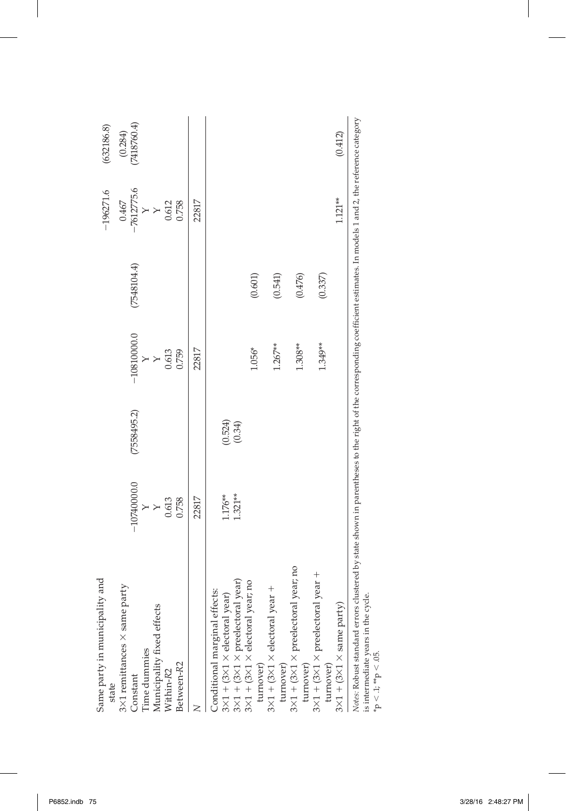| (7548104.4)<br>(0.601)<br>(0.476)<br>(0.541)<br>$-10810000.0$<br>$1.267**$<br>1.308**<br>1.056*<br>22817<br>0.759<br>0.613<br>(7558495.2)<br>$(0.524)$<br>$(0.34)$<br>$-10740000.0$<br>1.321**<br>1.176**<br>22817<br>0.613<br>0.758<br>$\times$<br>$3{\times}1$ + (3 ${\times}1$ ${\times}$ preelectoral year; no<br>$\begin{array}{l} 3{\times}1+({\bf 3} {\times}1 \times {\rm 4etoral\, year})\\ 3{\times}1+({\bf 3} {\times}1 \times {\rm 1peelectoral\, year})\\ 3{\times}1+({\bf 3} {\times}1 \times {\rm 4etoral\, year\, no\end{array}$<br>3×1 remittances × same party<br>turnover)<br>$3\times1+(3\times1\times \text{electoral year} +$<br>Conditional marginal effects:<br>Municipality fixed effects<br>Time dummies<br>turnover)<br>Between-R2<br>Within-R2<br>Constant<br>state |           |  |  | $-196271.6$  | (632186.8)              |
|-------------------------------------------------------------------------------------------------------------------------------------------------------------------------------------------------------------------------------------------------------------------------------------------------------------------------------------------------------------------------------------------------------------------------------------------------------------------------------------------------------------------------------------------------------------------------------------------------------------------------------------------------------------------------------------------------------------------------------------------------------------------------------------------------|-----------|--|--|--------------|-------------------------|
|                                                                                                                                                                                                                                                                                                                                                                                                                                                                                                                                                                                                                                                                                                                                                                                                 |           |  |  | 0.467        |                         |
|                                                                                                                                                                                                                                                                                                                                                                                                                                                                                                                                                                                                                                                                                                                                                                                                 |           |  |  | $-7612775.6$ | $(0.284)$ $(7418760.4)$ |
|                                                                                                                                                                                                                                                                                                                                                                                                                                                                                                                                                                                                                                                                                                                                                                                                 |           |  |  | $\times$     |                         |
|                                                                                                                                                                                                                                                                                                                                                                                                                                                                                                                                                                                                                                                                                                                                                                                                 |           |  |  |              |                         |
|                                                                                                                                                                                                                                                                                                                                                                                                                                                                                                                                                                                                                                                                                                                                                                                                 |           |  |  | 0.612        |                         |
|                                                                                                                                                                                                                                                                                                                                                                                                                                                                                                                                                                                                                                                                                                                                                                                                 |           |  |  | 0.758        |                         |
|                                                                                                                                                                                                                                                                                                                                                                                                                                                                                                                                                                                                                                                                                                                                                                                                 |           |  |  | 22817        |                         |
|                                                                                                                                                                                                                                                                                                                                                                                                                                                                                                                                                                                                                                                                                                                                                                                                 |           |  |  |              |                         |
|                                                                                                                                                                                                                                                                                                                                                                                                                                                                                                                                                                                                                                                                                                                                                                                                 |           |  |  |              |                         |
|                                                                                                                                                                                                                                                                                                                                                                                                                                                                                                                                                                                                                                                                                                                                                                                                 |           |  |  |              |                         |
|                                                                                                                                                                                                                                                                                                                                                                                                                                                                                                                                                                                                                                                                                                                                                                                                 |           |  |  |              |                         |
|                                                                                                                                                                                                                                                                                                                                                                                                                                                                                                                                                                                                                                                                                                                                                                                                 |           |  |  |              |                         |
|                                                                                                                                                                                                                                                                                                                                                                                                                                                                                                                                                                                                                                                                                                                                                                                                 |           |  |  |              |                         |
|                                                                                                                                                                                                                                                                                                                                                                                                                                                                                                                                                                                                                                                                                                                                                                                                 |           |  |  |              |                         |
|                                                                                                                                                                                                                                                                                                                                                                                                                                                                                                                                                                                                                                                                                                                                                                                                 |           |  |  |              |                         |
|                                                                                                                                                                                                                                                                                                                                                                                                                                                                                                                                                                                                                                                                                                                                                                                                 | turnover) |  |  |              |                         |
| (0.337)<br>1.349**<br>$3\times1$ + (3×1 × preelectoral year +                                                                                                                                                                                                                                                                                                                                                                                                                                                                                                                                                                                                                                                                                                                                   |           |  |  |              |                         |
| turnover)                                                                                                                                                                                                                                                                                                                                                                                                                                                                                                                                                                                                                                                                                                                                                                                       |           |  |  |              |                         |
| $3\times1 + (3\times1 \times \text{same party})$                                                                                                                                                                                                                                                                                                                                                                                                                                                                                                                                                                                                                                                                                                                                                |           |  |  | $1.121**$    | (0.412)                 |

is intermediate years in the cycle. ⋋ is intermediate year<br>\*p < .1, \*\*p < .05.  $p < 1; **p < 05.$ 

 $\overline{\phantom{a}}$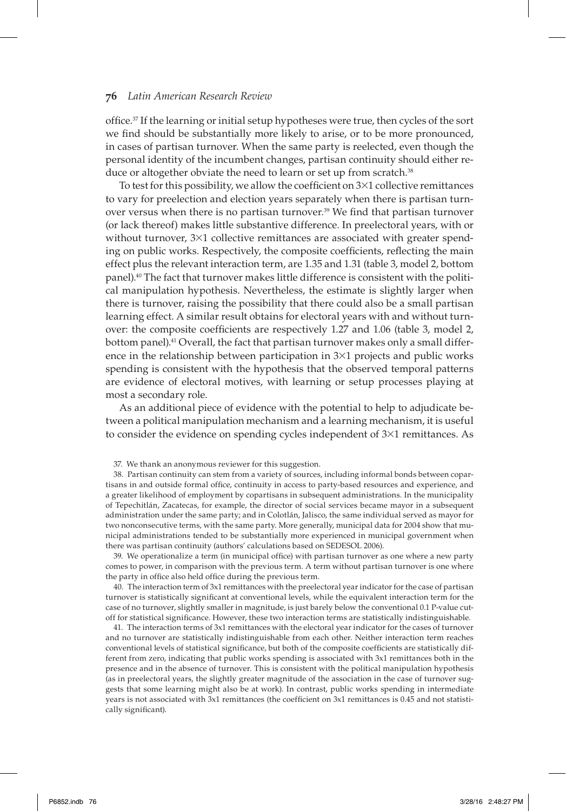office.<sup>37</sup> If the learning or initial setup hypotheses were true, then cycles of the sort we find should be substantially more likely to arise, or to be more pronounced, in cases of partisan turnover. When the same party is reelected, even though the personal identity of the incumbent changes, partisan continuity should either reduce or altogether obviate the need to learn or set up from scratch.<sup>38</sup>

To test for this possibility, we allow the coefficient on  $3\times1$  collective remittances to vary for preelection and election years separately when there is partisan turnover versus when there is no partisan turnover.<sup>39</sup> We find that partisan turnover (or lack thereof) makes little substantive difference. In preelectoral years, with or without turnover,  $3\times1$  collective remittances are associated with greater spending on public works. Respectively, the composite coefficients, reflecting the main effect plus the relevant interaction term, are 1.35 and 1.31 (table 3, model 2, bottom panel).40 The fact that turnover makes little difference is consistent with the political manipulation hypothesis. Nevertheless, the estimate is slightly larger when there is turnover, raising the possibility that there could also be a small partisan learning effect. A similar result obtains for electoral years with and without turnover: the composite coefficients are respectively 1.27 and 1.06 (table 3, model 2, bottom panel).41 Overall, the fact that partisan turnover makes only a small difference in the relationship between participation in  $3\times1$  projects and public works spending is consistent with the hypothesis that the observed temporal patterns are evidence of electoral motives, with learning or setup processes playing at most a secondary role.

As an additional piece of evidence with the potential to help to adjudicate between a political manipulation mechanism and a learning mechanism, it is useful to consider the evidence on spending cycles independent of  $3\times1$  remittances. As

38. Partisan continuity can stem from a variety of sources, including informal bonds between copartisans in and outside formal office, continuity in access to party-based resources and experience, and a greater likelihood of employment by copartisans in subsequent administrations. In the municipality of Tepechitlán, Zacatecas, for example, the director of social services became mayor in a subsequent administration under the same party; and in Colotlán, Jalisco, the same individual served as mayor for two nonconsecutive terms, with the same party. More generally, municipal data for 2004 show that municipal administrations tended to be substantially more experienced in municipal government when there was partisan continuity (authors' calculations based on SEDESOL 2006).

39. We operationalize a term (in municipal office) with partisan turnover as one where a new party comes to power, in comparison with the previous term. A term without partisan turnover is one where the party in office also held office during the previous term.

40. The interaction term of 3x1 remittances with the preelectoral year indicator for the case of partisan turnover is statistically significant at conventional levels, while the equivalent interaction term for the case of no turnover, slightly smaller in magnitude, is just barely below the conventional 0.1 P-value cutoff for statistical significance. However, these two interaction terms are statistically indistinguishable.

41. The interaction terms of 3x1 remittances with the electoral year indicator for the cases of turnover and no turnover are statistically indistinguishable from each other. Neither interaction term reaches conventional levels of statistical significance, but both of the composite coefficients are statistically different from zero, indicating that public works spending is associated with 3x1 remittances both in the presence and in the absence of turnover. This is consistent with the political manipulation hypothesis (as in preelectoral years, the slightly greater magnitude of the association in the case of turnover suggests that some learning might also be at work). In contrast, public works spending in intermediate years is not associated with 3x1 remittances (the coefficient on 3x1 remittances is 0.45 and not statistically significant).

<sup>37.</sup> We thank an anonymous reviewer for this suggestion.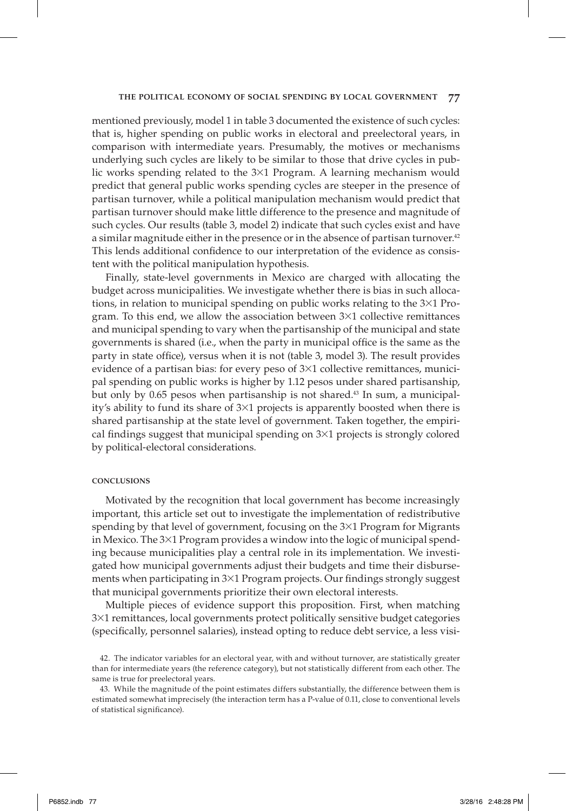mentioned previously, model 1 in table 3 documented the existence of such cycles: that is, higher spending on public works in electoral and preelectoral years, in comparison with intermediate years. Presumably, the motives or mechanisms underlying such cycles are likely to be similar to those that drive cycles in public works spending related to the 3×1 Program. A learning mechanism would predict that general public works spending cycles are steeper in the presence of partisan turnover, while a political manipulation mechanism would predict that partisan turnover should make little difference to the presence and magnitude of such cycles. Our results (table 3, model 2) indicate that such cycles exist and have a similar magnitude either in the presence or in the absence of partisan turnover.<sup>42</sup> This lends additional confidence to our interpretation of the evidence as consistent with the political manipulation hypothesis.

Finally, state-level governments in Mexico are charged with allocating the budget across municipalities. We investigate whether there is bias in such allocations, in relation to municipal spending on public works relating to the 3×1 Program. To this end, we allow the association between  $3\times1$  collective remittances and municipal spending to vary when the partisanship of the municipal and state governments is shared (i.e., when the party in municipal office is the same as the party in state office), versus when it is not (table 3, model 3). The result provides evidence of a partisan bias: for every peso of  $3\times1$  collective remittances, municipal spending on public works is higher by 1.12 pesos under shared partisanship, but only by  $0.65$  pesos when partisanship is not shared.<sup>43</sup> In sum, a municipality's ability to fund its share of 3×1 projects is apparently boosted when there is shared partisanship at the state level of government. Taken together, the empirical findings suggest that municipal spending on  $3\times1$  projects is strongly colored by political-electoral considerations.

#### **CONCLUSIONS**

Motivated by the recognition that local government has become increasingly important, this article set out to investigate the implementation of redistributive spending by that level of government, focusing on the 3×1 Program for Migrants in Mexico. The 3×1 Program provides a window into the logic of municipal spending because municipalities play a central role in its implementation. We investigated how municipal governments adjust their budgets and time their disbursements when participating in  $3\times1$  Program projects. Our findings strongly suggest that municipal governments prioritize their own electoral interests.

Multiple pieces of evidence support this proposition. First, when matching 3×1 remittances, local governments protect politically sensitive budget categories (specifically, personnel salaries), instead opting to reduce debt service, a less visi-

<sup>42.</sup> The indicator variables for an electoral year, with and without turnover, are statistically greater than for intermediate years (the reference category), but not statistically different from each other. The same is true for preelectoral years.

<sup>43.</sup> While the magnitude of the point estimates differs substantially, the difference between them is estimated somewhat imprecisely (the interaction term has a P-value of 0.11, close to conventional levels of statistical significance).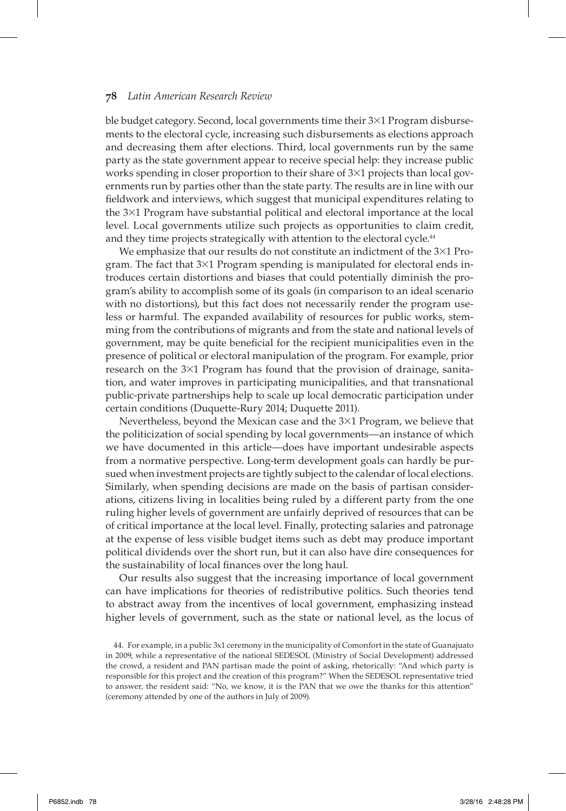ble budget category. Second, local governments time their 3×1 Program disbursements to the electoral cycle, increasing such disbursements as elections approach and decreasing them after elections. Third, local governments run by the same party as the state government appear to receive special help: they increase public works spending in closer proportion to their share of  $3\times1$  projects than local governments run by parties other than the state party. The results are in line with our fieldwork and interviews, which suggest that municipal expenditures relating to the 3×1 Program have substantial political and electoral importance at the local level. Local governments utilize such projects as opportunities to claim credit, and they time projects strategically with attention to the electoral cycle.<sup>44</sup>

We emphasize that our results do not constitute an indictment of the  $3\times1$  Program. The fact that 3×1 Program spending is manipulated for electoral ends introduces certain distortions and biases that could potentially diminish the program's ability to accomplish some of its goals (in comparison to an ideal scenario with no distortions), but this fact does not necessarily render the program useless or harmful. The expanded availability of resources for public works, stemming from the contributions of migrants and from the state and national levels of government, may be quite beneficial for the recipient municipalities even in the presence of political or electoral manipulation of the program. For example, prior research on the  $3\times1$  Program has found that the provision of drainage, sanitation, and water improves in participating municipalities, and that transnational public-private partnerships help to scale up local democratic participation under certain conditions (Duquette-Rury 2014; Duquette 2011).

Nevertheless, beyond the Mexican case and the 3×1 Program, we believe that the politicization of social spending by local governments—an instance of which we have documented in this article—does have important undesirable aspects from a normative perspective. Long-term development goals can hardly be pursued when investment projects are tightly subject to the calendar of local elections. Similarly, when spending decisions are made on the basis of partisan considerations, citizens living in localities being ruled by a different party from the one ruling higher levels of government are unfairly deprived of resources that can be of critical importance at the local level. Finally, protecting salaries and patronage at the expense of less visible budget items such as debt may produce important political dividends over the short run, but it can also have dire consequences for the sustainability of local finances over the long haul.

Our results also suggest that the increasing importance of local government can have implications for theories of redistributive politics. Such theories tend to abstract away from the incentives of local government, emphasizing instead higher levels of government, such as the state or national level, as the locus of

<sup>44.</sup> For example, in a public 3x1 ceremony in the municipality of Comonfort in the state of Guanajuato in 2009, while a representative of the national SEDESOL (Ministry of Social Development) addressed the crowd, a resident and PAN partisan made the point of asking, rhetorically: "And which party is responsible for this project and the creation of this program?" When the SEDESOL representative tried to answer, the resident said: "No, we know, it is the PAN that we owe the thanks for this attention" (ceremony attended by one of the authors in July of 2009).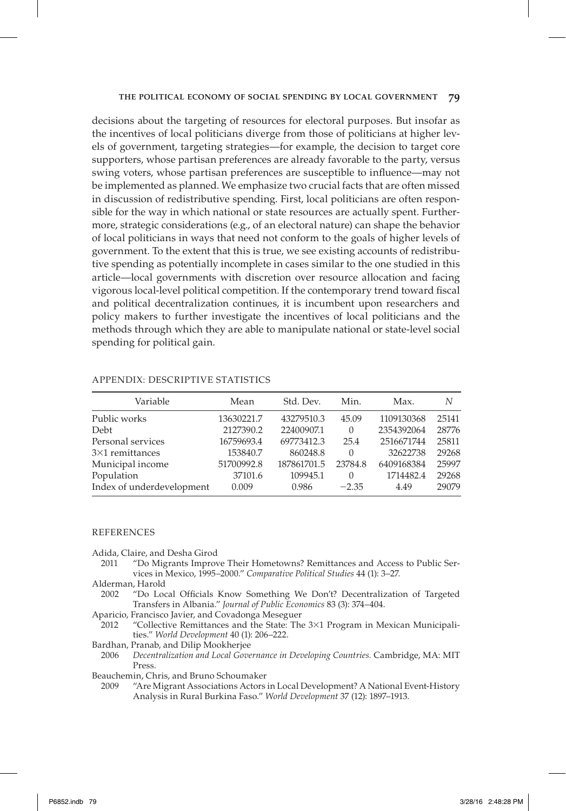decisions about the targeting of resources for electoral purposes. But insofar as the incentives of local politicians diverge from those of politicians at higher levels of government, targeting strategies—for example, the decision to target core supporters, whose partisan preferences are already favorable to the party, versus swing voters, whose partisan preferences are susceptible to influence—may not be implemented as planned. We emphasize two crucial facts that are often missed in discussion of redistributive spending. First, local politicians are often responsible for the way in which national or state resources are actually spent. Furthermore, strategic considerations (e.g., of an electoral nature) can shape the behavior of local politicians in ways that need not conform to the goals of higher levels of government. To the extent that this is true, we see existing accounts of redistributive spending as potentially incomplete in cases similar to the one studied in this article—local governments with discretion over resource allocation and facing vigorous local-level political competition. If the contemporary trend toward fiscal and political decentralization continues, it is incumbent upon researchers and policy makers to further investigate the incentives of local politicians and the methods through which they are able to manipulate national or state-level social spending for political gain.

| Variable                  | Mean       | Std. Dev.   | Min.     | Max.       | N     |
|---------------------------|------------|-------------|----------|------------|-------|
| Public works              | 13630221.7 | 43279510.3  | 45.09    | 1109130368 | 25141 |
| Debt                      | 2127390.2  | 22400907.1  | $\Omega$ | 2354392064 | 28776 |
| Personal services         | 16759693.4 | 69773412.3  | 25.4     | 2516671744 | 25811 |
| $3\times1$ remittances    | 153840.7   | 860248.8    | $\Omega$ | 32622738   | 29268 |
| Municipal income          | 51700992.8 | 187861701.5 | 23784.8  | 6409168384 | 25997 |
| Population                | 37101.6    | 109945.1    | $\Omega$ | 1714482.4  | 29268 |
| Index of underdevelopment | 0.009      | 0.986       | $-2.35$  | 4.49       | 29079 |

## APPENDIX: DESCRIPTIVE STATISTICS

### REFERENCES

Adida, Claire, and Desha Girod

2011 "Do Migrants Improve Their Hometowns? Remittances and Access to Public Services in Mexico, 1995–2000." *Comparative Political Studies* 44 (1): 3–27.

- 2002 "Do Local Officials Know Something We Don't? Decentralization of Targeted Transfers in Albania." *Journal of Public Economics* 83 (3): 374–404.
- Aparicio, Francisco Javier, and Covadonga Meseguer
- 2012 "Collective Remittances and the State: The 3×1 Program in Mexican Municipalities." *World Development* 40 (1): 206–222.
- Bardhan, Pranab, and Dilip Mookherjee
- 2006 *Decentralization and Local Governance in Developing Countries.* Cambridge, MA: MIT Press.
- Beauchemin, Chris, and Bruno Schoumaker
- 2009 "Are Migrant Associations Actors in Local Development? A National Event- History Analysis in Rural Burkina Faso." *World Development* 37 (12): 1897–1913.

Alderman, Harold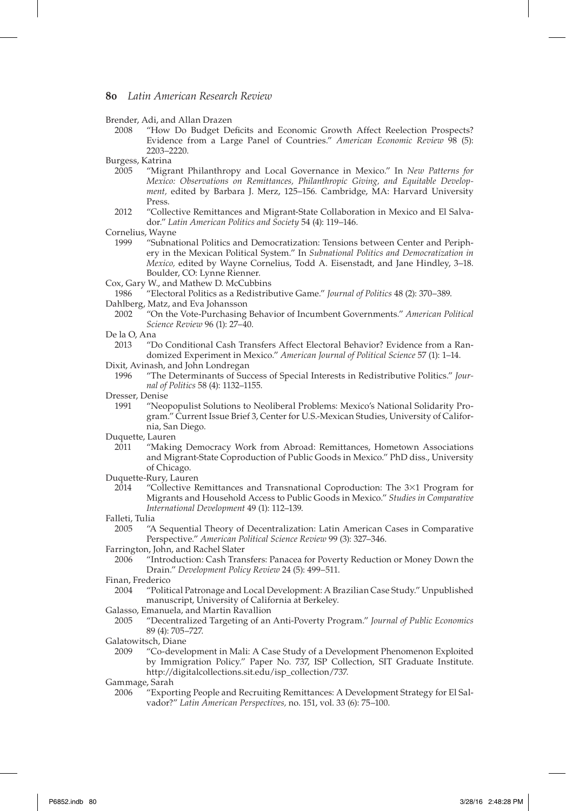Brender, Adi, and Allan Drazen

2008 "How Do Budget Defi cits and Economic Growth Affect Reelection Prospects? Evidence from a Large Panel of Countries." *American Economic Review* 98 (5): 2203–2220.

Burgess, Katrina<br>2005 **"Migra** 

- "Migrant Philanthropy and Local Governance in Mexico." In *New Patterns for Mexico: Observations on Remittances, Philanthropic Giving, and Equitable Development,* edited by Barbara J. Merz, 125–156*.* Cambridge, MA: Harvard University Press.
- 2012 "Collective Remittances and Migrant-State Collaboration in Mexico and El Salvador." *Latin American Politics and Society* 54 (4): 119–146.

Cornelius, Wayne

- 1999 "Subnational Politics and Democratization: Tensions between Center and Periphery in the Mexican Political System." In *Subnational Politics and Democratization in Mexico,* edited by Wayne Cornelius, Todd A. Eisenstadt, and Jane Hindley, 3–18. Boulder, CO: Lynne Rienner.
- Cox, Gary W., and Mathew D. McCubbins

1986 "Electoral Politics as a Redistributive Game." *Journal of Politics* 48 (2): 370–389. Dahlberg, Matz, and Eva Johansson

2002 "On the Vote-Purchasing Behavior of Incumbent Governments." *American Political Science Review* 96 (1): 27–40.

De la O, Ana

- 2013 "Do Conditional Cash Transfers Affect Electoral Behavior? Evidence from a Randomized Experiment in Mexico." *American Journal of Political Science* 57 (1): 1–14.
- Dixit, Avinash, and John Londregan
- 1996 "The Determinants of Success of Special Interests in Redistributive Politics." *Journal of Politics* 58 (4): 1132–1155.
- Dresser, Denise
	- 1991 "Neopopulist Solutions to Neoliberal Problems: Mexico's National Solidarity Program." Current Issue Brief 3, Center for U.S.-Mexican Studies, University of California, San Diego.

Duquette, Lauren

2011 "Making Democracy Work from Abroad: Remittances, Hometown Associations and Migrant-State Coproduction of Public Goods in Mexico." PhD diss., University of Chicago.

Duquette-Rury, Lauren

2014 "Collective Remittances and Transnational Coproduction: The 3×1 Program for Migrants and Household Access to Public Goods in Mexico." *Studies in Comparative International Development* 49 (1): 112–139.

Falleti, Tulia

- 2005 "A Sequential Theory of Decentralization: Latin American Cases in Comparative Perspective." *American Political Science Review* 99 (3): 327–346.
- Farrington, John, and Rachel Slater
	- 2006 "Introduction: Cash Transfers: Panacea for Poverty Reduction or Money Down the Drain." *Development Policy Review* 24 (5): 499–511.

Finan, Frederico

- "Political Patronage and Local Development: A Brazilian Case Study." Unpublished manuscript, University of California at Berkeley.
- Galasso, Emanuela, and Martin Ravallion
- 2005 "Decentralized Targeting of an Anti-Poverty Program." *Journal of Public Economics* 89 (4): 705–727.

Galatowitsch, Diane

2009 "Co-development in Mali: A Case Study of a Development Phenomenon Exploited by Immigration Policy." Paper No. 737, ISP Collection, SIT Graduate Institute. http://digitalcollections.sit.edu/isp\_collection/737.

Gammage, Sarah

2006 "Exporting People and Recruiting Remittances: A Development Strategy for El Salvador?" *Latin American Perspectives,* no. 151, vol. 33 (6): 75–100.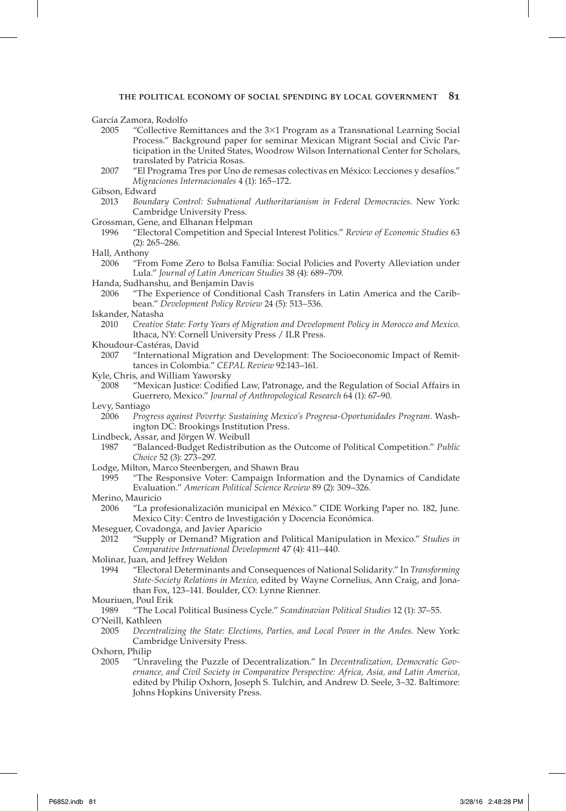García Zamora, Rodolfo

- 2005 "Collective Remittances and the 3×1 Program as a Transnational Learning Social Process." Background paper for seminar Mexican Migrant Social and Civic Participation in the United States, Woodrow Wilson International Center for Scholars, translated by Patricia Rosas.
- 2007 "El Programa Tres por Uno de remesas colectivas en México: Lecciones y desafíos." *Migraciones Internacionales* 4 (1): 165–172.
- Gibson, Edward
- 2013 *Boundary Control: Subnational Authoritarianism in Federal Democracies.* New York: Cambridge University Press.
- Grossman, Gene, and Elhanan Helpman
	- 1996 "Electoral Competition and Special Interest Politics." *Review of Economic Studies* 63 (2): 265–286.
- Hall, Anthony<br>2006 "Fro
	- "From Fome Zero to Bolsa Família: Social Policies and Poverty Alleviation under Lula." *Journal of Latin American Studies* 38 (4): 689–709.
- Handa, Sudhanshu, and Benjamin Davis
	- 2006 "The Experience of Conditional Cash Transfers in Latin America and the Caribbean." *Development Policy Review* 24 (5): 513–536.
- Iskander, Natasha
- 2010 *Creative State: Forty Years of Migration and Development Policy in Morocco and Mexico.* Ithaca, NY: Cornell University Press / ILR Press.
- Khoudour-Castéras, David
- 2007 "International Migration and Development: The Socioeconomic Impact of Remittances in Colombia." *CEPAL Review* 92:143–161.
- Kyle, Chris, and William Yaworsky
- 2008 "Mexican Justice: Codified Law, Patronage, and the Regulation of Social Affairs in Guerrero, Mexico." *Journal of Anthropological Research* 64 (1): 67–90.
- Levy, Santiago
	- 2006 *Progress against Poverty: Sustaining Mexico's Progresa-Oportunidades Program.* Washington DC: Brookings Institution Press.
- Lindbeck, Assar, and Jörgen W. Weibull
	- 1987 "Balanced-Budget Redistribution as the Outcome of Political Competition." *Public Choice* 52 (3): 273–297.
- Lodge, Milton, Marco Steenbergen, and Shawn Brau
	- 1995 "The Responsive Voter: Campaign Information and the Dynamics of Candidate Evaluation." *American Political Science Review* 89 (2): 309–326.
- Merino, Mauricio
- 2006 "La profesionalización municipal en México." CIDE Working Paper no. 182, June. Mexico City: Centro de Investigación y Docencia Económica.
- Meseguer, Covadonga, and Javier Aparicio
- 2012 "Supply or Demand? Migration and Political Manipulation in Mexico." *Studies in Comparative International Development* 47 (4): 411–440.
- Molinar, Juan, and Jeffrey Weldon
- 1994 "Electoral Determinants and Consequences of National Solidarity." In *Transforming State-Society Relations in Mexico,* edited by Wayne Cornelius, Ann Craig, and Jonathan Fox, 123–141. Boulder, CO: Lynne Rienner.
- Mouriuen, Poul Erik
- 1989 "The Local Political Business Cycle." *Scandinavian Political Studies* 12 (1): 37–55.

O'Neill, Kathleen

2005 *Decentralizing the State: Elections, Parties, and Local Power in the Andes.* New York: Cambridge University Press.

Oxhorn, Philip

2005 "Unraveling the Puzzle of Decentralization." In *Decentralization, Democratic Governance, and Civil Society in Comparative Perspective: Africa, Asia, and Latin America,* edited by Philip Oxhorn, Joseph S. Tulchin, and Andrew D. Seele, 3–32. Baltimore: Johns Hopkins University Press.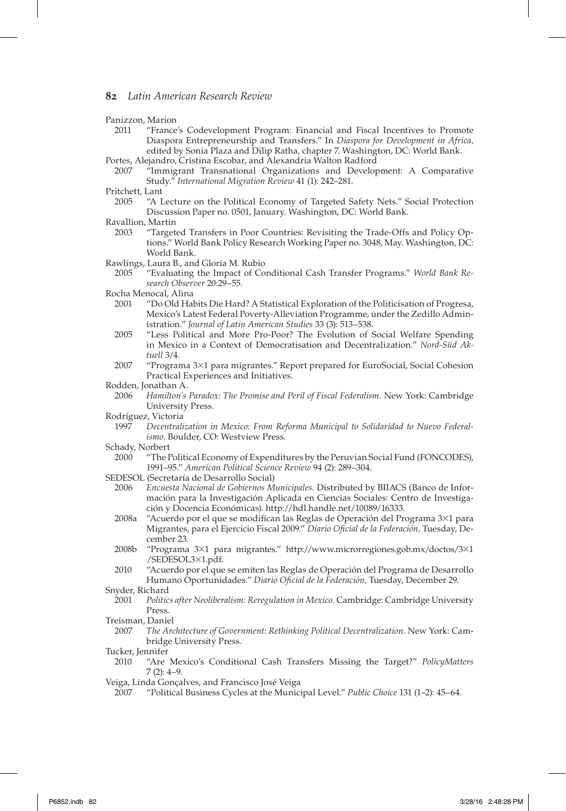Panizzon, Marion

- 2011 "France's Codevelopment Program: Financial and Fiscal Incentives to Promote Diaspora Entrepreneurship and Transfers." In *Diaspora for Development in Africa,* edited by Sonia Plaza and Dilip Ratha, chapter 7. Washington, DC: World Bank.
- Portes, Alejandro, Cristina Escobar, and Alexandria Walton Radford
- 2007 "Immigrant Transnational Organizations and Development: A Comparative Study." *International Migration Review* 41 (1): 242–281.
- Pritchett, Lant
- 2005 "A Lecture on the Political Economy of Targeted Safety Nets." Social Protection Discussion Paper no. 0501, January. Washington, DC: World Bank.
- Ravallion, Martin
	- 2003 "Targeted Transfers in Poor Countries: Revisiting the Trade-Offs and Policy Options." World Bank Policy Research Working Paper no. 3048, May. Washington, DC: World Bank.
- Rawlings, Laura B., and Gloria M. Rubio
- 2005 "Evaluating the Impact of Conditional Cash Transfer Programs." *World Bank Research Observer* 20:29–55.
- Rocha Menocal, Alina
	- 2001 "Do Old Habits Die Hard? A Statistical Exploration of the Politicisation of Progresa, Mexico's Latest Federal Poverty-Alleviation Programme, under the Zedillo Administration." *Journal of Latin American Studies* 33 (3): 513–538.
	- 2005 "Less Political and More Pro-Poor? The Evolution of Social Welfare Spending in Mexico in a Context of Democratisation and Decentralization." *Nord-Süd Aktuell* 3/4.
	- 2007 "Programa 3×1 para migrantes." Report prepared for EuroSocial, Social Cohesion Practical Experiences and Initiatives.
- Rodden, Jonathan A.
	- 2006 *Hamilton's Paradox: The Promise and Peril of Fiscal Federalism.* New York: Cambridge University Press.
- Rodríguez, Victoria
	- 1997 *Decentralization in Mexico: From Reforma Municipal to Solidaridad to Nuevo Federalismo.* Boulder, CO: Westview Press.
- Schady, Norbert
	- 2000 "The Political Economy of Expenditures by the Peruvian Social Fund (FONCODES), 1991–95." *American Political Science Review* 94 (2): 289–304.
- SEDESOL (Secretaría de Desarrollo Social)
	- 2006 *Encuesta Nacional de Gobiernos Municipales.* Distributed by BIIACS (Banco de Información para la Investigación Aplicada en Ciencias Sociales: Centro de Investigación y Docencia Económicas). http://hdl.handle.net/10089/16333.
	- 2008a "Acuerdo por el que se modifican las Reglas de Operación del Programa  $3\times1$  para Migrantes, para el Ejercicio Fiscal 2009." *Diario Ofi cial de la Federación,* Tuesday, December 23.
	- 2008b "Programa 3×1 para migrantes." http://www.microrregiones.gob.mx/doctos/3×1 /SEDESOL3×1.pdf.
- 2010 "Acuerdo por el que se emiten las Reglas de Operación del Programa de Desarrollo Humano Oportunidades." Diario Oficial de la Federación, Tuesday, December 29.

2001 *Politics after Neoliberalism: Reregulation in Mexico.* Cambridge: Cambridge University Press.

Treisman, Daniel

2007 *The Architecture of Government: Rethinking Political Decentralization.* New York: Cambridge University Press.

Tucker, Jennifer

- 2010 "Are Mexico's Conditional Cash Transfers Missing the Target?" *PolicyMatters* 7 (2): 4–9.
- Veiga, Linda Gonçalves, and Francisco José Veiga
- 2007 "Political Business Cycles at the Municipal Level." *Public Choice* 131 (1–2): 45–64.

Snyder, Richard